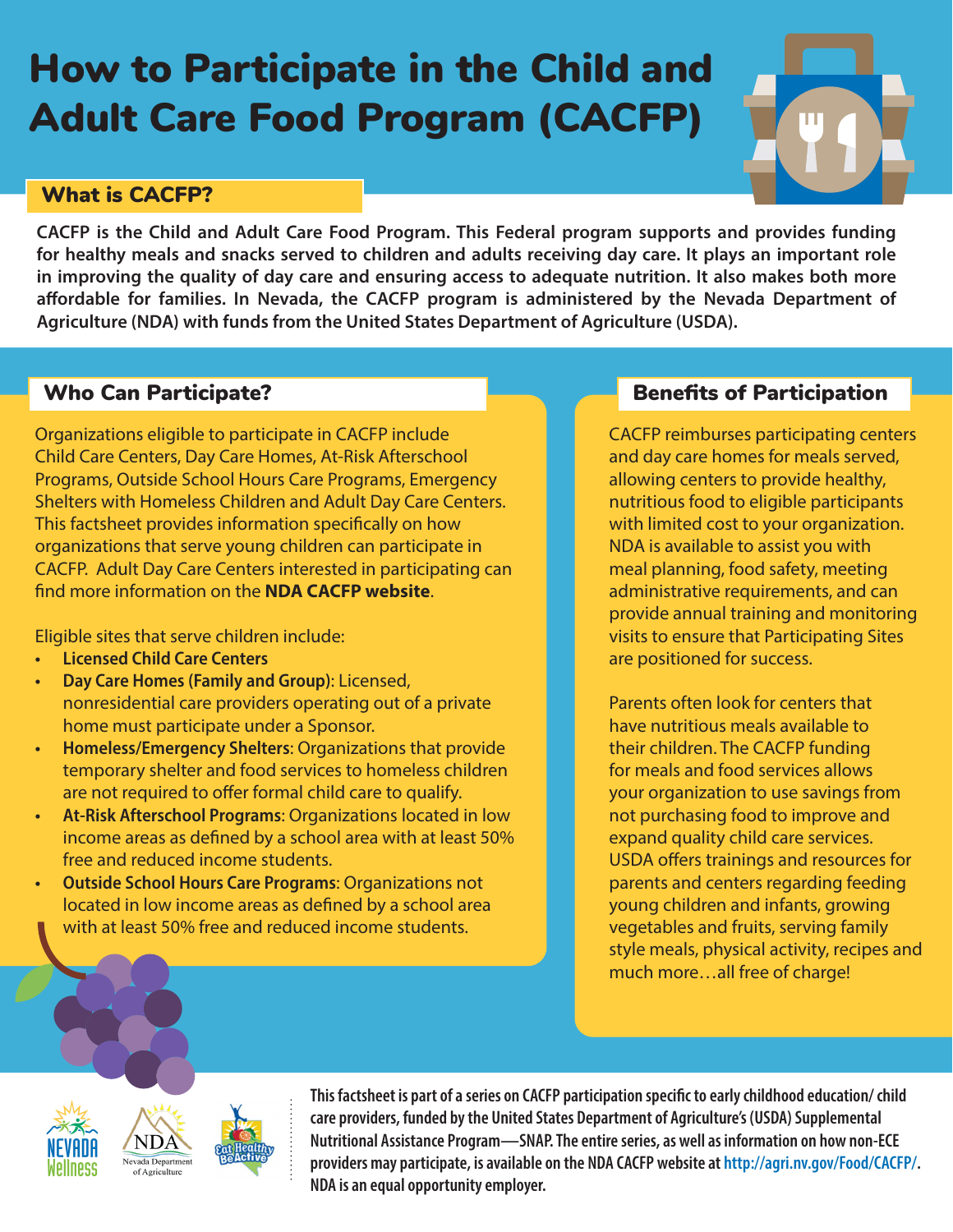# How to Participate in the Child and Adult Care Food Program (CACFP)

### What is CACFP?

**CACFP is the Child and Adult Care Food Program. This Federal program supports and provides funding for healthy meals and snacks served to children and adults receiving day care. It plays an important role in improving the quality of day care and ensuring access to adequate nutrition. It also makes both more affordable for families. In Nevada, the CACFP program is administered by the Nevada Department of Agriculture (NDA) with funds from the United States Department of Agriculture (USDA).**

#### Who Can Participate?

Organizations eligible to participate in CACFP include Child Care Centers, Day Care Homes, At-Risk Afterschool Programs, Outside School Hours Care Programs, Emergency Shelters with Homeless Children and Adult Day Care Centers. This factsheet provides information specifically on how organizations that serve young children can participate in CACFP. Adult Day Care Centers interested in participating can find more information on the **[NDA CACFP website](http://agri.nv.gov/Food/CACFP/)**.

Eligible sites that serve children include:

- **• Licensed Child Care Centers**
- **• Day Care Homes (Family and Group)**: Licensed, nonresidential care providers operating out of a private home must participate under a Sponsor.
- **• Homeless/Emergency Shelters**: Organizations that provide temporary shelter and food services to homeless children are not required to offer formal child care to qualify.
- **• At-Risk Afterschool Programs**: Organizations located in low income areas as defined by a school area with at least 50% free and reduced income students.
- **• Outside School Hours Care Programs**: Organizations not located in low income areas as defined by a school area with at least 50% free and reduced income students.

#### Benefits of Participation

π

CACFP reimburses participating centers and day care homes for meals served, allowing centers to provide healthy, nutritious food to eligible participants with limited cost to your organization. NDA is available to assist you with meal planning, food safety, meeting administrative requirements, and can provide annual training and monitoring visits to ensure that Participating Sites are positioned for success.

Parents often look for centers that have nutritious meals available to their children. The CACFP funding for meals and food services allows your organization to use savings from not purchasing food to improve and expand quality child care services. USDA offers trainings and resources for parents and centers regarding feeding young children and infants, growing vegetables and fruits, serving family style meals, physical activity, recipes and much more…all free of charge!





**This factsheet is part of a series on CACFP participation specific to early childhood education/ child care providers, funded by the United States Department of Agriculture's (USDA) Supplemental Nutritional Assistance Program—SNAP. The entire series, as well as information on how non-ECE providers may participate, is available on the NDA CACFP website at http://agri.nv.gov/Food/CACFP/. NDA is an equal opportunity employer.**